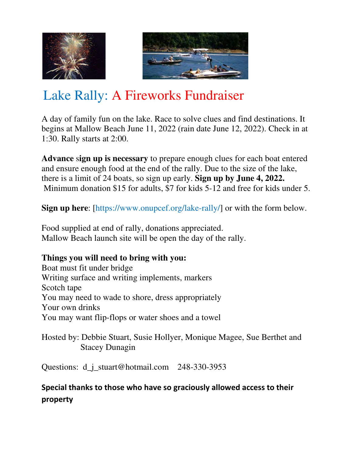



# Lake Rally: A Fireworks Fundraiser

A day of family fun on the lake. Race to solve clues and find destinations. It begins at Mallow Beach June 11, 2022 (rain date June 12, 2022). Check in at 1:30. Rally starts at 2:00.

**Advance** s**ign up is necessary** to prepare enough clues for each boat entered and ensure enough food at the end of the rally. Due to the size of the lake, there is a limit of 24 boats, so sign up early. **Sign up by June 4, 2022.**  Minimum donation \$15 for adults, \$7 for kids 5-12 and free for kids under 5.

**Sign up here**: [https://www.onupcef.org/lake-rally/] or with the form below.

Food supplied at end of rally, donations appreciated. Mallow Beach launch site will be open the day of the rally.

#### **Things you will need to bring with you:**

Boat must fit under bridge Writing surface and writing implements, markers Scotch tape You may need to wade to shore, dress appropriately Your own drinks You may want flip-flops or water shoes and a towel

Hosted by: Debbie Stuart, Susie Hollyer, Monique Magee, Sue Berthet and Stacey Dunagin

Questions: d\_j\_stuart@hotmail.com 248-330-3953

#### **Special thanks to those who have so graciously allowed access to their property**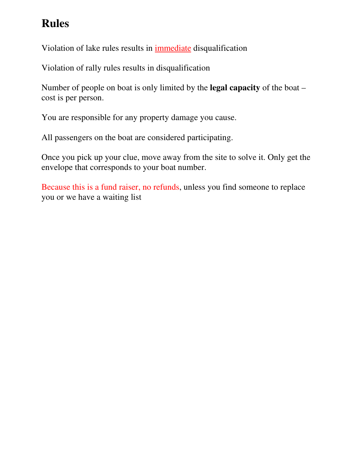### **Rules**

Violation of lake rules results in immediate disqualification

Violation of rally rules results in disqualification

Number of people on boat is only limited by the **legal capacity** of the boat – cost is per person.

You are responsible for any property damage you cause.

All passengers on the boat are considered participating.

Once you pick up your clue, move away from the site to solve it. Only get the envelope that corresponds to your boat number.

Because this is a fund raiser, no refunds, unless you find someone to replace you or we have a waiting list